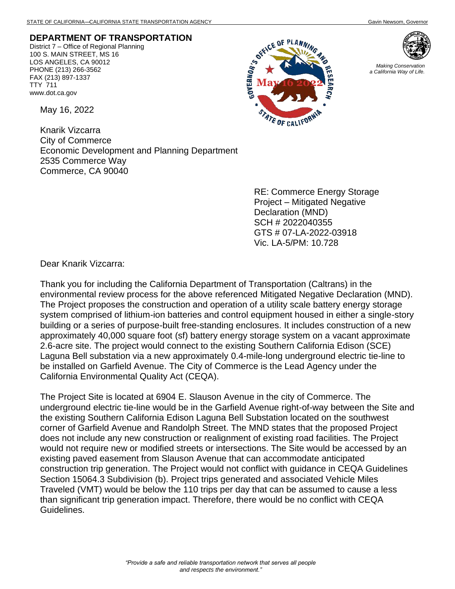## **DEPARTMENT OF TRANSPORTATION**

District 7 – Office of Regional Planning 100 S. MAIN STREET, MS 16 LOS ANGELES, CA 90012 PHONE (213) 266-3562 FAX (213) 897-1337 TTY 711 www.dot.ca.gov

May 16, 2022

Knarik Vizcarra City of Commerce Economic Development and Planning Department 2535 Commerce Way Commerce, CA 90040

> RE: Commerce Energy Storage Project – Mitigated Negative Declaration (MND) SCH # 2022040355 GTS # 07-LA-2022-03918 Vic. LA-5/PM: 10.728

Dear Knarik Vizcarra:

Thank you for including the California Department of Transportation (Caltrans) in the environmental review process for the above referenced Mitigated Negative Declaration (MND). The Project proposes the construction and operation of a utility scale battery energy storage system comprised of lithium-ion batteries and control equipment housed in either a single-story building or a series of purpose-built free-standing enclosures. It includes construction of a new approximately 40,000 square foot (sf) battery energy storage system on a vacant approximate 2.6-acre site. The project would connect to the existing Southern California Edison (SCE) Laguna Bell substation via a new approximately 0.4-mile-long underground electric tie-line to be installed on Garfield Avenue. The City of Commerce is the Lead Agency under the California Environmental Quality Act (CEQA).

**GOVERNOR'S** 

ICE OF PLAN

OF CALIFON

The Project Site is located at 6904 E. Slauson Avenue in the city of Commerce. The underground electric tie-line would be in the Garfield Avenue right-of-way between the Site and the existing Southern California Edison Laguna Bell Substation located on the southwest corner of Garfield Avenue and Randolph Street. The MND states that the proposed Project does not include any new construction or realignment of existing road facilities. The Project would not require new or modified streets or intersections. The Site would be accessed by an existing paved easement from Slauson Avenue that can accommodate anticipated construction trip generation. The Project would not conflict with guidance in CEQA Guidelines Section 15064.3 Subdivision (b). Project trips generated and associated Vehicle Miles Traveled (VMT) would be below the 110 trips per day that can be assumed to cause a less than significant trip generation impact. Therefore, there would be no conflict with CEQA Guidelines.



*Making Conservation a California Way of Life.*